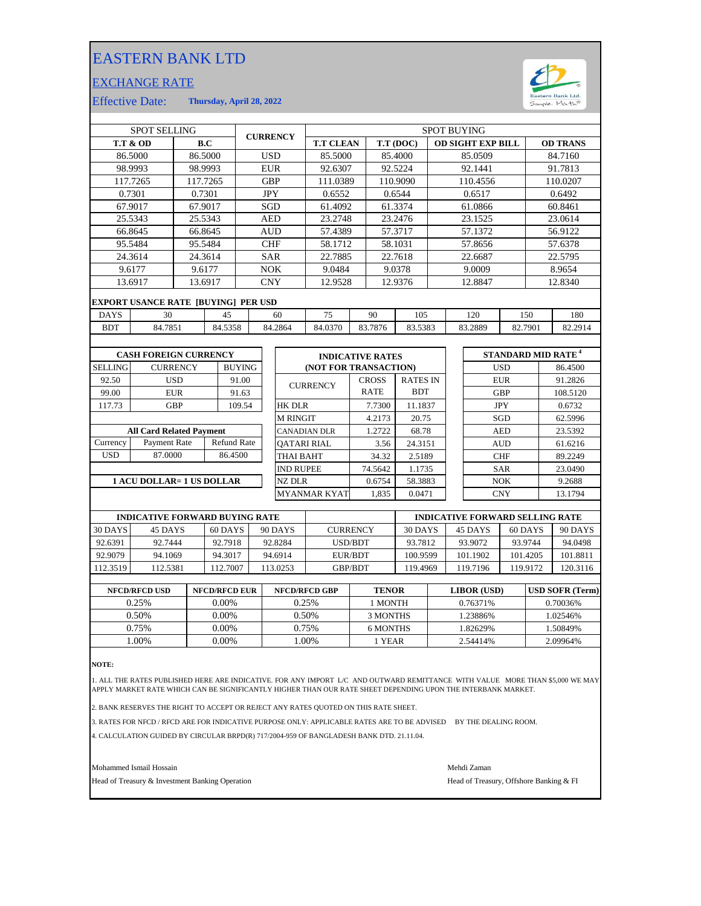## EASTERN BANK LTD

## EXCHANGE RATE



Effective Date: **Thursday, April 28, 2022**

|                | <b>SPOT SELLING</b>                 |                 |          |               |            | <b>CURRENCY</b> |                         |              |                 | <b>SPOT BUYING</b> |                          |            |         |                                      |
|----------------|-------------------------------------|-----------------|----------|---------------|------------|-----------------|-------------------------|--------------|-----------------|--------------------|--------------------------|------------|---------|--------------------------------------|
|                | <b>T.T &amp; OD</b>                 |                 | B.C      |               |            |                 | <b>T.T CLEAN</b>        |              | T.T (DOC)       |                    | <b>OD SIGHT EXP BILL</b> |            |         | <b>OD TRANS</b>                      |
|                | 86.5000                             |                 | 86.5000  |               | <b>USD</b> |                 | 85.5000                 |              | 85.4000         |                    | 85.0509                  |            |         | 84.7160                              |
|                | 98.9993                             |                 | 98.9993  |               | <b>EUR</b> |                 | 92.6307                 |              | 92.5224         |                    | 92.1441                  |            |         | 91.7813                              |
|                | 117.7265                            |                 | 117.7265 |               | <b>GBP</b> |                 | 111.0389                |              | 110.9090        |                    | 110.4556                 |            |         | 110.0207                             |
|                | 0.7301                              | 0.7301          |          |               | <b>JPY</b> |                 | 0.6552                  |              | 0.6544          |                    | 0.6517                   |            |         | 0.6492                               |
|                | 67.9017                             |                 | 67.9017  |               | SGD        |                 | 61.4092                 |              | 61.3374         |                    | 61.0866                  |            |         | 60.8461                              |
|                | 25.5343                             |                 | 25.5343  |               | <b>AED</b> |                 | 23.2748                 |              | 23.2476         |                    | 23.1525                  |            |         | 23.0614                              |
|                | 66.8645                             |                 | 66.8645  |               | <b>AUD</b> |                 | 57.4389                 |              | 57.3717         |                    | 57.1372                  |            |         | 56.9122                              |
|                | 95.5484                             |                 | 95.5484  |               | <b>CHF</b> |                 | 58.1712                 | 58.1031      |                 |                    | 57.8656                  |            | 57.6378 |                                      |
|                | 24.3614                             |                 | 24.3614  |               | <b>SAR</b> |                 | 22.7885                 |              | 22.7618         |                    | 22.6687                  |            | 22.5795 |                                      |
|                | 9.6177                              |                 | 9.6177   |               | <b>NOK</b> |                 | 9.0484                  | 9.0378       |                 | 9.0009             |                          |            | 8.9654  |                                      |
|                | 13.6917                             |                 | 13.6917  |               | <b>CNY</b> |                 | 12.9528                 |              | 12.9376         |                    | 12.8847                  |            |         | 12.8340                              |
|                | EXPORT USANCE RATE [BUYING] PER USD |                 |          |               |            |                 |                         |              |                 |                    |                          |            |         |                                      |
| <b>DAYS</b>    | 30                                  |                 | 45       |               |            | 60              | 75                      | 90           | 105             |                    | 120                      | 150        |         | 180                                  |
| <b>BDT</b>     | 84.7851                             |                 | 84.5358  |               |            | 84.2864         | 84.0370                 | 83.7876      | 83.5383         |                    | 83.2889                  | 82.7901    |         | 82.2914                              |
|                |                                     |                 |          |               |            |                 |                         |              |                 |                    |                          |            |         |                                      |
|                | <b>CASH FOREIGN CURRENCY</b>        |                 |          |               |            |                 | <b>INDICATIVE RATES</b> |              |                 |                    |                          |            |         | <b>STANDARD MID RATE<sup>4</sup></b> |
| <b>SELLING</b> |                                     | <b>CURRENCY</b> |          | <b>BUYING</b> |            |                 | (NOT FOR TRANSACTION)   |              |                 |                    |                          | <b>USD</b> |         | 86.4500                              |
| 92.50          |                                     | <b>USD</b>      |          | 91.00         |            |                 | <b>CURRENCY</b>         | <b>CROSS</b> | <b>RATES IN</b> |                    |                          | <b>EUR</b> |         | 91.2826                              |
| 99.00          |                                     | <b>EUR</b>      |          | 91.63         |            |                 |                         | <b>RATE</b>  | <b>BDT</b>      |                    |                          | <b>GBP</b> |         | 108.5120                             |
| 117.73         |                                     | <b>GBP</b>      |          | 109.54        |            | <b>HK DLR</b>   |                         | 7.7300       | 11.1837         |                    |                          | <b>JPY</b> |         | 0.6732                               |
|                |                                     |                 |          |               |            | <b>M RINGIT</b> |                         | 4.2173       | 20.75           |                    |                          | SGD        |         | 62.5996                              |

|                 | <b>All Card Related Payment</b> |                    |  |  |  |  |  |  |
|-----------------|---------------------------------|--------------------|--|--|--|--|--|--|
| <b>Currency</b> | Payment Rate                    | <b>Refund Rate</b> |  |  |  |  |  |  |
| USD             | 87.0000                         | 86.4500            |  |  |  |  |  |  |
|                 |                                 |                    |  |  |  |  |  |  |

## **1 ACU DOLLAR= 1 US DOLLAR**

| <b>INDICATIVE RATES</b><br><b>(NOT FOR TRANSACTION)</b> |                             |                               |  |  |  |  |
|---------------------------------------------------------|-----------------------------|-------------------------------|--|--|--|--|
| <b>CURRENCY</b>                                         | <b>CROSS</b><br><b>RATE</b> | <b>RATES IN</b><br><b>BDT</b> |  |  |  |  |
| HK DLR                                                  | 7.7300                      | 11.1837                       |  |  |  |  |
| M RINGIT                                                | 4.2173                      | 20.75                         |  |  |  |  |
| CANADIAN DLR                                            | 1.2722                      | 68.78                         |  |  |  |  |
| QATARI RIAL                                             | 3.56                        | 24.3151                       |  |  |  |  |
| THAI BAHT                                               | 34.32                       | 2.5189                        |  |  |  |  |
| <b>IND RUPEE</b>                                        | 74.5642                     | 1.1735                        |  |  |  |  |
| NZ DLR                                                  | 0.6754                      | 58.3883                       |  |  |  |  |
| MYANMAR KYAT                                            | 1.835                       | 0.0471                        |  |  |  |  |

| <b>INDICATIVE FORWARD BUYING RATE</b> |          |         |          |                 | <b>INDICATIVE FORWARD SELLING RATE</b> |          |          |          |
|---------------------------------------|----------|---------|----------|-----------------|----------------------------------------|----------|----------|----------|
| 30 DAYS                               | 45 DAYS  | 60 DAYS | 90 DAYS  | <b>CURRENCY</b> | 30 DAYS                                | 45 DAYS  | 60 DAYS  | 90 DAYS  |
| 92.6391                               | 92.7444  | 92.7918 | 92.8284  | USD/BDT         | 93.7812                                | 93.9072  | 93.9744  | 94.0498  |
| 92.9079                               | 94.1069  | 94.3017 | 94.6914  | EUR/BDT         | 100.9599                               | 101.1902 | 101.4205 | 101.8811 |
| 112.3519                              | 112.5381 | 12.7007 | 113.0253 | <b>GBP/BDT</b>  | 119.4969                               | 119.7196 | 119.9172 | 120.3116 |
|                                       |          |         |          |                 |                                        |          |          |          |

| <b>NFCD/RFCD USD</b> | <b>NFCD/RFCD EUR</b> | <b>NFCD/RFCD GBP</b> | <b>TENOR</b> | <b>LIBOR</b> (USD) | <b>USD SOFR (Term)</b> |
|----------------------|----------------------|----------------------|--------------|--------------------|------------------------|
| 0.25%                | $0.00\%$             | 0.25%                | 1 MONTH      | 0.76371%           | 0.70036%               |
| 0.50%                | $0.00\%$             | 0.50%                | 3 MONTHS     | 1.23886%           | .02546%                |
| 0.75%                | 0.00%                | 0.75%                | 6 MONTHS     | 82629%             | .50849%                |
| .00%                 | 0.00%                | .00%                 | 1 YEAR       | 2.54414%           | 2.09964%               |
|                      |                      |                      |              |                    |                        |

**NOTE:**

1. ALL THE RATES PUBLISHED HERE ARE INDICATIVE. FOR ANY IMPORT L/C AND OUTWARD REMITTANCE WITH VALUE MORE THAN \$5,000 WE MAY APPLY MARKET RATE WHICH CAN BE SIGNIFICANTLY HIGHER THAN OUR RATE SHEET DEPENDING UPON THE INTERBANK MARKET.

2. BANK RESERVES THE RIGHT TO ACCEPT OR REJECT ANY RATES QUOTED ON THIS RATE SHEET.

3. RATES FOR NFCD / RFCD ARE FOR INDICATIVE PURPOSE ONLY: APPLICABLE RATES ARE TO BE ADVISED BY THE DEALING ROOM.

4. CALCULATION GUIDED BY CIRCULAR BRPD(R) 717/2004-959 OF BANGLADESH BANK DTD. 21.11.04.

Mohammed Ismail Hossain Mehdi Zaman

Head of Treasury & Investment Banking Operation **Head of Treasury, Offshore Banking & FI** 

CNY 13.1794

23.5392 61.6216

9.2688 23.0490

89.2249

AUD

SAR

 $NOK$ 

CHF

 $\mathbf{A}\mathbf{E}\mathbf{D}$